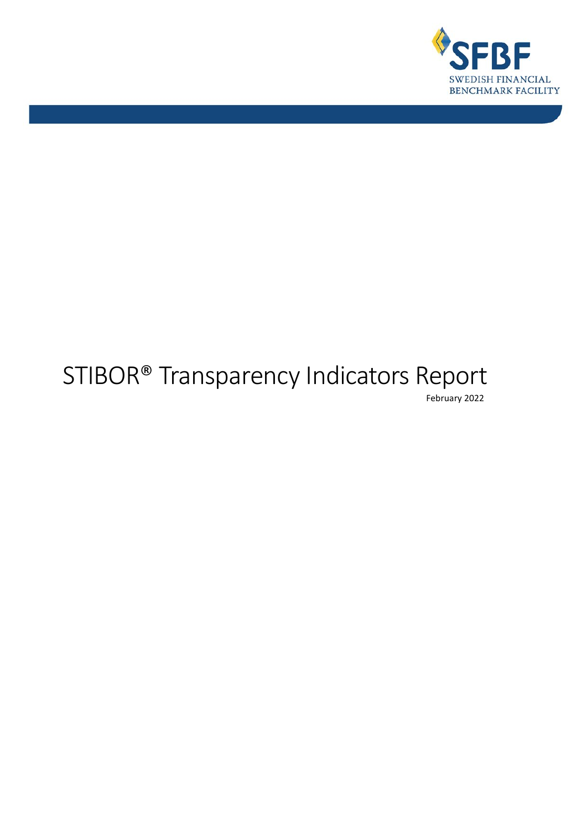

# STIBOR® Transparency Indicators Report February 2022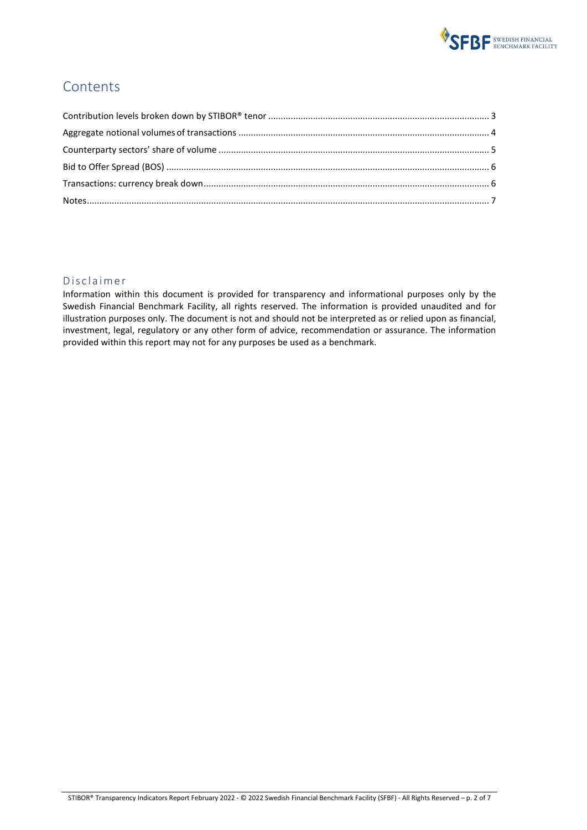

### **Contents**

#### Disclaimer

Information within this document is provided for transparency and informational purposes only by the Swedish Financial Benchmark Facility, all rights reserved. The information is provided unaudited and for illustration purposes only. The document is not and should not be interpreted as or relied upon as financial, investment, legal, regulatory or any other form of advice, recommendation or assurance. The information provided within this report may not for any purposes be used as a benchmark.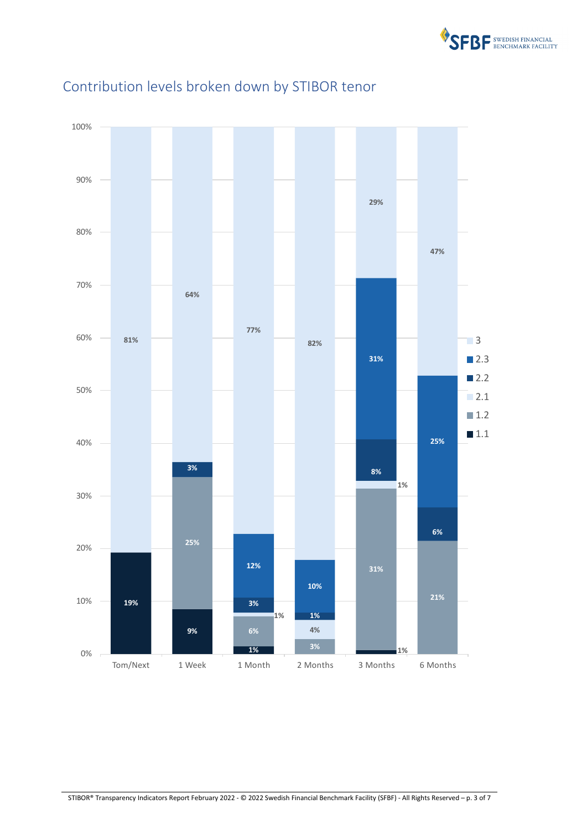

<span id="page-2-1"></span>

## <span id="page-2-0"></span>Contribution levels broken down by STIBOR tenor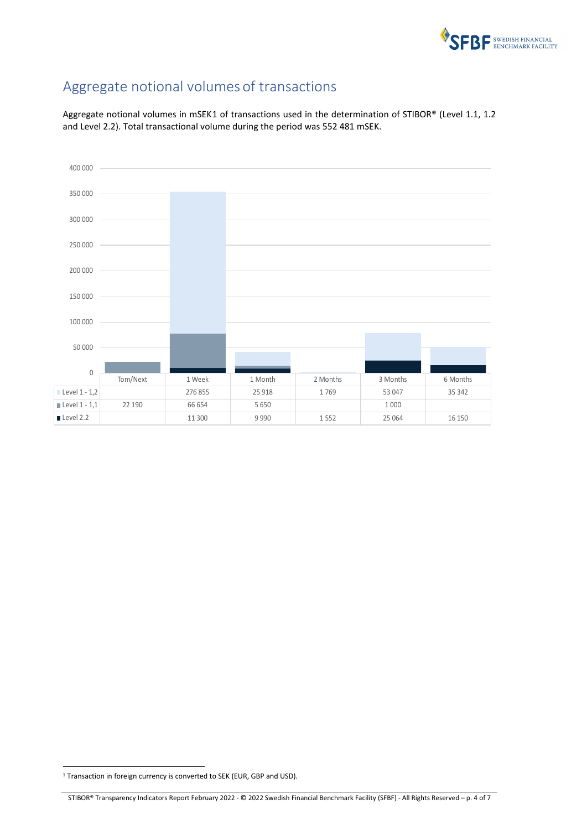

# Aggregate notional volumes of transactions

Aggregate notional volumes in mSEK[1](#page-3-0) of transactions used in the determination of STIBOR® (Level 1.1, 1.2 and Level 2.2). Total transactional volume during the period was 552 481 mSEK.



<span id="page-3-0"></span><sup>&</sup>lt;sup>1</sup> Transaction in foreign currency is converted to SEK (EUR, GBP and USD).

STIBOR® Transparency Indicators Report February 2022 - © 2022 Swedish Financial Benchmark Facility (SFBF) - All Rights Reserved – p. 4 of 7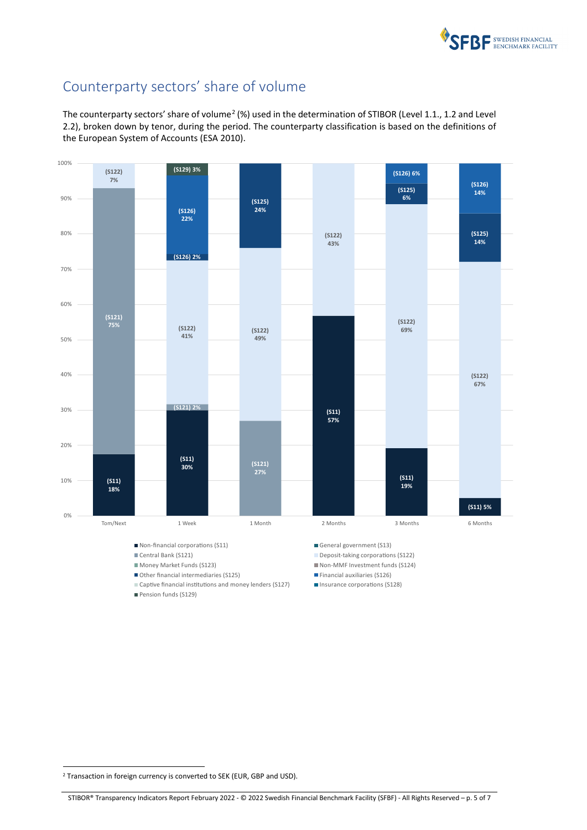

## <span id="page-4-0"></span>Counterparty sectors' share of volume

The counterparty sectors' share of volume<sup>[2](#page-4-1)</sup> (%) used in the determination of STIBOR (Level 1.1., 1.2 and Level 2.2), broken down by tenor, during the period. The counterparty classification is based on the definitions of the European System of Accounts (ESA 2010).



■ Non-financial corporations (S11) General government (S13)

- 
- 
- Other financial intermediaries (S125) Financial auxiliaries (S126)
- Captive financial institutions and money lenders (S127) **Insurance corporations (S128)**
- Pension funds (S129)
- 
- Central Bank (S121) Central Bank (S122)
- Money Market Funds (S123) Non-MMF Investment funds (S124)
	-
	-

<span id="page-4-1"></span><sup>&</sup>lt;sup>2</sup> Transaction in foreign currency is converted to SEK (EUR, GBP and USD).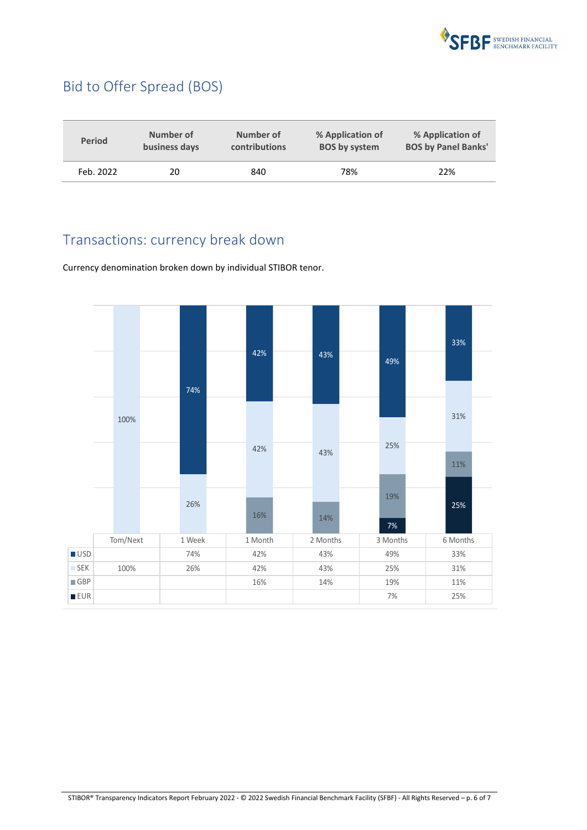

## <span id="page-5-0"></span>Bid to Offer Spread (BOS)

| <b>Period</b> | Number of     | Number of     | % Application of     | % Application of           |
|---------------|---------------|---------------|----------------------|----------------------------|
|               | business days | contributions | <b>BOS by system</b> | <b>BOS by Panel Banks'</b> |
| Feb. 2022     | 20            | 840           | 78%                  | 22%                        |

## <span id="page-5-1"></span>Transactions: currency break down

Currency denomination broken down by individual STIBOR tenor.